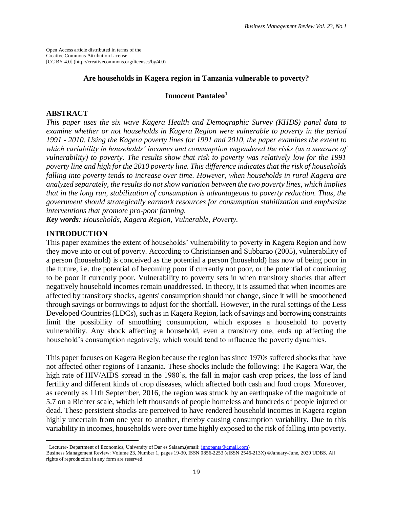Open Access article distributed in terms of the Creative Commons Attribution License [CC BY 4.0] (http://creativecommons.org/licenses/by/4.0)

#### **Are households in Kagera region in Tanzania vulnerable to poverty?**

### **Innocent Pantaleo<sup>1</sup>**

### **ABSTRACT**

*This paper uses the six wave Kagera Health and Demographic Survey (KHDS) panel data to examine whether or not households in Kagera Region were vulnerable to poverty in the period 1991 - 2010. Using the Kagera poverty lines for 1991 and 2010, the paper examines the extent to which variability in households' incomes and consumption engendered the risks (as a measure of vulnerability) to poverty. The results show that risk to poverty was relatively low for the 1991 poverty line and high for the 2010 poverty line. This difference indicates that the risk of households falling into poverty tends to increase over time. However, when households in rural Kagera are analyzed separately, the results do not show variation between the two poverty lines, which implies that in the long run, stabilization of consumption is advantageous to poverty reduction. Thus, the government should strategically earmark resources for consumption stabilization and emphasize interventions that promote pro-poor farming.* 

*Key words: Households, Kagera Region, Vulnerable, Poverty.*

### **INTRODUCTION**

 $\overline{\phantom{a}}$ 

This paper examines the extent of households' vulnerability to poverty in Kagera Region and how they move into or out of poverty. According to Christiansen and Subbarao (2005), vulnerability of a person (household) is conceived as the potential a person (household) has now of being poor in the future, i.e. the potential of becoming poor if currently not poor, or the potential of continuing to be poor if currently poor. Vulnerability to poverty sets in when transitory shocks that affect negatively household incomes remain unaddressed. In theory, it is assumed that when incomes are affected by transitory shocks, agents' consumption should not change, since it will be smoothened through savings or borrowings to adjust for the shortfall. However, in the rural settings of the Less Developed Countries (LDCs), such as in Kagera Region, lack of savings and borrowing constraints limit the possibility of smoothing consumption, which exposes a household to poverty vulnerability. Any shock affecting a household, even a transitory one, ends up affecting the household's consumption negatively, which would tend to influence the poverty dynamics.

This paper focuses on Kagera Region because the region has since 1970s suffered shocks that have not affected other regions of Tanzania. These shocks include the following: The Kagera War, the high rate of HIV/AIDS spread in the 1980's, the fall in major cash crop prices, the loss of land fertility and different kinds of crop diseases, which affected both cash and food crops. Moreover, as recently as 11th September, 2016, the region was struck by an earthquake of the magnitude of 5.7 on a Richter scale, which left thousands of people homeless and hundreds of people injured or dead. These persistent shocks are perceived to have rendered household incomes in Kagera region highly uncertain from one year to another, thereby causing consumption variability. Due to this variability in incomes, households were over time highly exposed to the risk of falling into poverty.

<sup>&</sup>lt;sup>1</sup> Lecturer- Department of Economics, University of Dar es Salaam,(email[: innopanta@gmail.com\)](mailto:innopanta@gmail.com)

Business Management Review: Volume 23, Number 1, pages 19-30, ISSN 0856-2253 (eISSN 2546-213X) ©January-June, 2020 UDBS. All rights of reproduction in any form are reserved.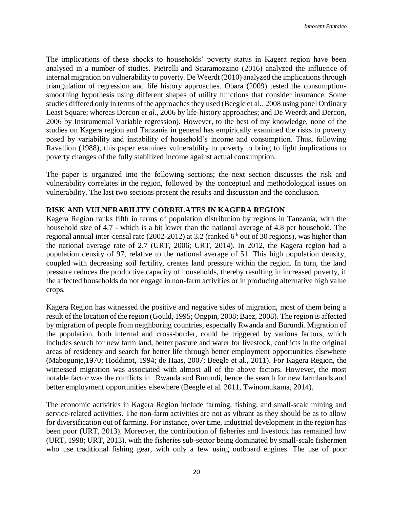The implications of these shocks to households' poverty status in Kagera region have been analysed in a number of studies. Pietrelli and Scaramozzino (2016) analyzed the influence of internal migration on vulnerability to poverty. De Weerdt (2010) analyzed the implications through triangulation of regression and life history approaches. Obara (2009) tested the consumptionsmoothing hypothesis using different shapes of utility functions that consider insurance. Some studies differed only in terms of the approaches they used (Beegle et al*.,* 2008 using panel Ordinary Least Square; whereas Dercon *et al.,* 2006 by life-history approaches; and De Weerdt and Dercon, 2006 by Instrumental Variable regression). However, to the best of my knowledge, none of the studies on Kagera region and Tanzania in general has empirically examined the risks to poverty posed by variability and instability of household's income and consumption. Thus, following Ravallion (1988), this paper examines vulnerability to poverty to bring to light implications to poverty changes of the fully stabilized income against actual consumption.

The paper is organized into the following sections; the next section discusses the risk and vulnerability correlates in the region, followed by the conceptual and methodological issues on vulnerability. The last two sections present the results and discussion and the conclusion.

# **RISK AND VULNERABILITY CORRELATES IN KAGERA REGION**

Kagera Region ranks fifth in terms of population distribution by regions in Tanzania, with the household size of 4.7 - which is a bit lower than the national average of 4.8 per household. The regional annual inter-censal rate (2002-2012) at 3.2 (ranked  $6<sup>th</sup>$  out of 30 regions), was higher than the national average rate of 2.7 (URT, 2006; URT, 2014). In 2012, the Kagera region had a population density of 97, relative to the national average of 51. This high population density, coupled with decreasing soil fertility, creates land pressure within the region. In turn, the land pressure reduces the productive capacity of households, thereby resulting in increased poverty, if the affected households do not engage in non-farm activities or in producing alternative high value crops.

Kagera Region has witnessed the positive and negative sides of migration, most of them being a result of the location of the region (Gould, 1995; Ongpin, 2008; Baez, 2008). The region is affected by migration of people from neighboring countries, especially Rwanda and Burundi. Migration of the population, both internal and cross-border, could be triggered by various factors, which includes search for new farm land, better pasture and water for livestock, conflicts in the original areas of residency and search for better life through better employment opportunities elsewhere (Mabogunje,1970; Hoddinot, 1994; de Haas, 2007; Beegle et al.*,* 2011). For Kagera Region, the witnessed migration was associated with almost all of the above factors. However, the most notable factor was the conflicts in Rwanda and Burundi, hence the search for new farmlands and better employment opportunities elsewhere (Beegle et al. 2011, Twinomukama, 2014).

The economic activities in Kagera Region include farming, fishing, and small-scale mining and service-related activities. The non-farm activities are not as vibrant as they should be as to allow for diversification out of farming. For instance, over time, industrial development in the region has been poor (URT, 2013). Moreover, the contribution of fisheries and livestock has remained low (URT, 1998; URT, 2013), with the fisheries sub-sector being dominated by small-scale fishermen who use traditional fishing gear, with only a few using outboard engines. The use of poor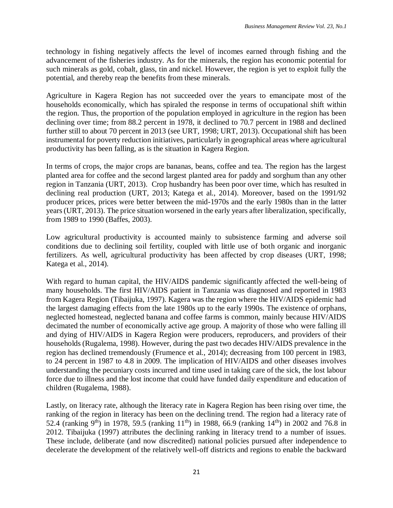technology in fishing negatively affects the level of incomes earned through fishing and the advancement of the fisheries industry. As for the minerals, the region has economic potential for such minerals as gold, cobalt, glass, tin and nickel. However, the region is yet to exploit fully the potential, and thereby reap the benefits from these minerals.

Agriculture in Kagera Region has not succeeded over the years to emancipate most of the households economically, which has spiraled the response in terms of occupational shift within the region. Thus, the proportion of the population employed in agriculture in the region has been declining over time; from 88.2 percent in 1978, it declined to 70.7 percent in 1988 and declined further still to about 70 percent in 2013 (see URT, 1998; URT, 2013). Occupational shift has been instrumental for poverty reduction initiatives, particularly in geographical areas where agricultural productivity has been falling, as is the situation in Kagera Region.

In terms of crops, the major crops are bananas, beans, coffee and tea. The region has the largest planted area for coffee and the second largest planted area for paddy and sorghum than any other region in Tanzania (URT, 2013). Crop husbandry has been poor over time, which has resulted in declining real production (URT, 2013; Katega et al., 2014). Moreover, based on the 1991/92 producer prices, prices were better between the mid-1970s and the early 1980s than in the latter years (URT, 2013). The price situation worsened in the early years after liberalization, specifically, from 1989 to 1990 (Baffes, 2003).

Low agricultural productivity is accounted mainly to subsistence farming and adverse soil conditions due to declining soil fertility, coupled with little use of both organic and inorganic fertilizers. As well, agricultural productivity has been affected by crop diseases (URT, 1998; Katega et al., 2014).

With regard to human capital, the HIV/AIDS pandemic significantly affected the well-being of many households. The first HIV/AIDS patient in Tanzania was diagnosed and reported in 1983 from Kagera Region (Tibaijuka, 1997). Kagera was the region where the HIV/AIDS epidemic had the largest damaging effects from the late 1980s up to the early 1990s. The existence of orphans, neglected homestead, neglected banana and coffee farms is common, mainly because HIV/AIDS decimated the number of economically active age group. A majority of those who were falling ill and dying of HIV/AIDS in Kagera Region were producers, reproducers, and providers of their households (Rugalema, 1998). However, during the past two decades HIV/AIDS prevalence in the region has declined tremendously (Frumence et al., 2014); decreasing from 100 percent in 1983, to 24 percent in 1987 to 4.8 in 2009. The implication of HIV/AIDS and other diseases involves understanding the pecuniary costs incurred and time used in taking care of the sick, the lost labour force due to illness and the lost income that could have funded daily expenditure and education of children (Rugalema, 1988).

Lastly, on literacy rate, although the literacy rate in Kagera Region has been rising over time, the ranking of the region in literacy has been on the declining trend. The region had a literacy rate of 52.4 (ranking 9<sup>th</sup>) in 1978, 59.5 (ranking 11<sup>th</sup>) in 1988, 66.9 (ranking 14<sup>th</sup>) in 2002 and 76.8 in 2012. Tibaijuka (1997) attributes the declining ranking in literacy trend to a number of issues. These include, deliberate (and now discredited) national policies pursued after independence to decelerate the development of the relatively well-off districts and regions to enable the backward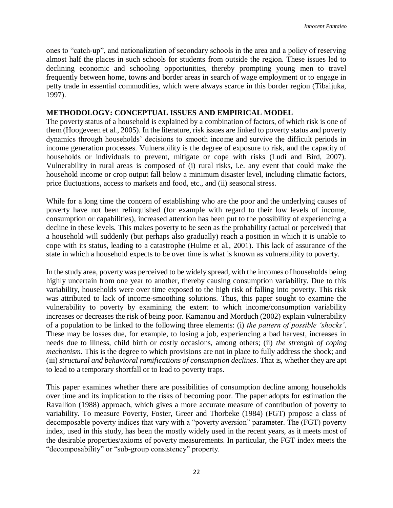ones to "catch-up", and nationalization of secondary schools in the area and a policy of reserving almost half the places in such schools for students from outside the region. These issues led to declining economic and schooling opportunities, thereby prompting young men to travel frequently between home, towns and border areas in search of wage employment or to engage in petty trade in essential commodities, which were always scarce in this border region (Tibaijuka, 1997).

# **METHODOLOGY: CONCEPTUAL ISSUES AND EMPIRICAL MODEL**

The poverty status of a household is explained by a combination of factors, of which risk is one of them (Hoogeveen et al., 2005). In the literature, risk issues are linked to poverty status and poverty dynamics through households' decisions to smooth income and survive the difficult periods in income generation processes. Vulnerability is the degree of exposure to risk, and the capacity of households or individuals to prevent, mitigate or cope with risks (Ludi and Bird, 2007). Vulnerability in rural areas is composed of (i) rural risks, i.e. any event that could make the household income or crop output fall below a minimum disaster level, including climatic factors, price fluctuations, access to markets and food, etc., and (ii) seasonal stress.

While for a long time the concern of establishing who are the poor and the underlying causes of poverty have not been relinquished (for example with regard to their low levels of income, consumption or capabilities), increased attention has been put to the possibility of experiencing a decline in these levels. This makes poverty to be seen as the probability (actual or perceived) that a household will suddenly (but perhaps also gradually) reach a position in which it is unable to cope with its status, leading to a catastrophe (Hulme et al., 2001). This lack of assurance of the state in which a household expects to be over time is what is known as vulnerability to poverty.

In the study area, poverty was perceived to be widely spread, with the incomes of households being highly uncertain from one year to another, thereby causing consumption variability. Due to this variability, households were over time exposed to the high risk of falling into poverty. This risk was attributed to lack of income-smoothing solutions. Thus, this paper sought to examine the vulnerability to poverty by examining the extent to which income/consumption variability increases or decreases the risk of being poor. Kamanou and Morduch (2002) explain vulnerability of a population to be linked to the following three elements: (i) *the pattern of possible 'shocks'*. These may be losses due, for example, to losing a job, experiencing a bad harvest, increases in needs due to illness, child birth or costly occasions, among others; (ii) *the strength of coping mechanism*. This is the degree to which provisions are not in place to fully address the shock; and (iii) *structural and behavioral ramifications of consumption declines*. That is, whether they are apt to lead to a temporary shortfall or to lead to poverty traps.

This paper examines whether there are possibilities of consumption decline among households over time and its implication to the risks of becoming poor. The paper adopts for estimation the Ravallion (1988) approach, which gives a more accurate measure of contribution of poverty to variability. To measure Poverty, Foster, Greer and Thorbeke (1984) (FGT) propose a class of decomposable poverty indices that vary with a "poverty aversion" parameter. The (FGT) poverty index, used in this study, has been the mostly widely used in the recent years, as it meets most of the desirable properties/axioms of poverty measurements. In particular, the FGT index meets the "decomposability" or "sub-group consistency" property.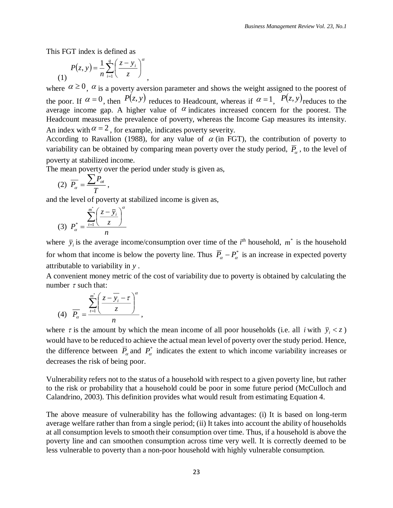This FGT index is defined as

$$
P(z, y) = \frac{1}{n} \sum_{i=1}^{q} \left(\frac{z - y_i}{z}\right)^{\alpha}
$$

where  $\alpha \ge 0$ ,  $\alpha$  is a poverty aversion parameter and shows the weight assigned to the poorest of the poor. If  $\alpha = 0$ , then  $P(z, y)$  reduces to Headcount, whereas if  $\alpha = 1$ ,  $P(z, y)$  reduces to the average income gap. A higher value of  $\alpha$  indicates increased concern for the poorest. The Headcount measures the prevalence of poverty, whereas the Income Gap measures its intensity. An index with  $\alpha = 2$ , for example, indicates poverty severity.

According to Ravallion (1988), for any value of  $\alpha$  (in FGT), the contribution of poverty to variability can be obtained by comparing mean poverty over the study period,  $\overline{P}_{\alpha}$ , to the level of poverty at stabilized income.

The mean poverty over the period under study is given as,

,

$$
(2) \ \overline{P_{\alpha}} = \frac{\sum P_{\alpha}}{T},
$$

and the level of poverty at stabilized income is given as,

(3) 
$$
P_{\alpha}^{*} = \frac{\sum_{i=1}^{m^{*}} \left(\frac{z - \overline{y}_{i}}{z}\right)^{\alpha}}{n}
$$

where  $\bar{y}_i$  is the average income/consumption over time of the *i*<sup>th</sup> household,  $m^*$  is the household for whom that income is below the poverty line. Thus  $\overline{P}_\alpha - P_\alpha^*$  is an increase in expected poverty attributable to variability in *<sup>y</sup>* .

A convenient money metric of the cost of variability due to poverty is obtained by calculating the number  $\tau$  such that:

$$
(4) \quad \overline{P_{\alpha}} = \frac{\sum_{i=1}^{m^*} \left( \frac{z - \overline{y_i} - \tau}{z} \right)^{\alpha}}{n},
$$

where  $\tau$  is the amount by which the mean income of all poor households (i.e. all *i* with  $\bar{y}_i < z$ ) would have to be reduced to achieve the actual mean level of poverty over the study period. Hence, the difference between  $\overline{P}_\alpha$  and  $P^*_{\alpha}$  indicates the extent to which income variability increases or decreases the risk of being poor.

Vulnerability refers not to the status of a household with respect to a given poverty line, but rather to the risk or probability that a household could be poor in some future period (McCulloch and Calandrino, 2003). This definition provides what would result from estimating Equation 4.

The above measure of vulnerability has the following advantages: (i) It is based on long-term average welfare rather than from a single period; (ii) It takes into account the ability of households at all consumption levels to smooth their consumption over time. Thus, if a household is above the poverty line and can smoothen consumption across time very well. It is correctly deemed to be less vulnerable to poverty than a non-poor household with highly vulnerable consumption.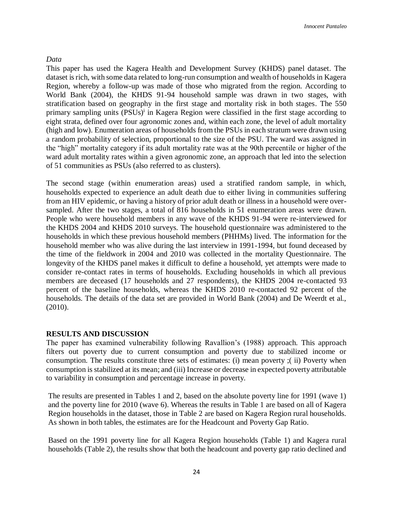### *Data*

This paper has used the Kagera Health and Development Survey (KHDS) panel dataset. The dataset is rich, with some data related to long-run consumption and wealth of households in Kagera Region, whereby a follow-up was made of those who migrated from the region. According to World Bank (2004), the KHDS 91-94 household sample was drawn in two stages, with stratification based on geography in the first stage and mortality risk in both stages. The 550 primary sampling units (PSUs)<sup>i</sup> in Kagera Region were classified in the first stage according to eight strata, defined over four agronomic zones and, within each zone, the level of adult mortality (high and low). Enumeration areas of households from the PSUs in each stratum were drawn using a random probability of selection, proportional to the size of the PSU. The ward was assigned in the "high" mortality category if its adult mortality rate was at the 90th percentile or higher of the ward adult mortality rates within a given agronomic zone, an approach that led into the selection of 51 communities as PSUs (also referred to as clusters).

The second stage (within enumeration areas) used a stratified random sample, in which, households expected to experience an adult death due to either living in communities suffering from an HIV epidemic, or having a history of prior adult death or illness in a household were oversampled. After the two stages, a total of 816 households in 51 enumeration areas were drawn. People who were household members in any wave of the KHDS 91-94 were re-interviewed for the KHDS 2004 and KHDS 2010 surveys. The household questionnaire was administered to the households in which these previous household members (PHHMs) lived. The information for the household member who was alive during the last interview in 1991-1994, but found deceased by the time of the fieldwork in 2004 and 2010 was collected in the mortality Questionnaire. The longevity of the KHDS panel makes it difficult to define a household, yet attempts were made to consider re-contact rates in terms of households. Excluding households in which all previous members are deceased (17 households and 27 respondents), the KHDS 2004 re-contacted 93 percent of the baseline households, whereas the KHDS 2010 re-contacted 92 percent of the households. The details of the data set are provided in World Bank (2004) and De Weerdt et al., (2010).

### **RESULTS AND DISCUSSION**

The paper has examined vulnerability following Ravallion's (1988) approach. This approach filters out poverty due to current consumption and poverty due to stabilized income or consumption. The results constitute three sets of estimates: (i) mean poverty ;( ii) Poverty when consumption is stabilized at its mean; and (iii) Increase or decrease in expected poverty attributable to variability in consumption and percentage increase in poverty.

The results are presented in Tables 1 and 2, based on the absolute poverty line for 1991 (wave 1) and the poverty line for 2010 (wave 6). Whereas the results in Table 1 are based on all of Kagera Region households in the dataset, those in Table 2 are based on Kagera Region rural households. As shown in both tables, the estimates are for the Headcount and Poverty Gap Ratio.

Based on the 1991 poverty line for all Kagera Region households (Table 1) and Kagera rural households (Table 2), the results show that both the headcount and poverty gap ratio declined and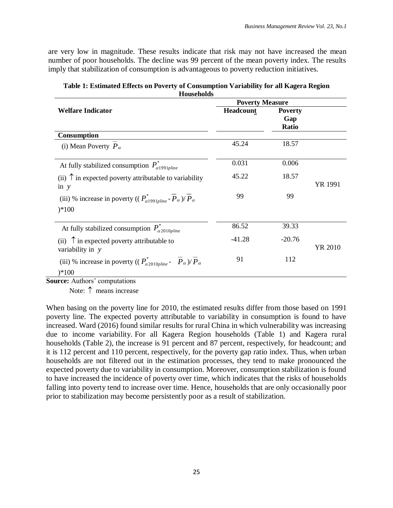are very low in magnitude. These results indicate that risk may not have increased the mean number of poor households. The decline was 99 percent of the mean poverty index. The results imply that stabilization of consumption is advantageous to poverty reduction initiatives.

|                                                                                                                                | <b>Poverty Measure</b> |                                       |         |
|--------------------------------------------------------------------------------------------------------------------------------|------------------------|---------------------------------------|---------|
| <b>Welfare Indicator</b>                                                                                                       | Headcount              | <b>Poverty</b><br>Gap<br><b>Ratio</b> |         |
| Consumption                                                                                                                    |                        |                                       |         |
| (i) Mean Poverty $P_{\alpha}$                                                                                                  | 45.24                  | 18.57                                 |         |
| At fully stabilized consumption $P_{\alpha 1991\nu line}^*$                                                                    | 0.031                  | 0.006                                 |         |
| (ii) $\uparrow$ in expected poverty attributable to variability<br>in $y$                                                      | 45.22                  | 18.57                                 | YR 1991 |
| (iii) % increase in poverty (( $P_{\alpha 1991nline}^*$ - $\overline{P}_{\alpha}$ )/ $\overline{P}_{\alpha}$<br>$)*100$        | 99                     | 99                                    |         |
|                                                                                                                                |                        |                                       |         |
| At fully stabilized consumption $P_{\alpha 2010 \text{pline}}^*$                                                               | 86.52                  | 39.33                                 |         |
| (ii) $\uparrow$ in expected poverty attributable to<br>variability in y                                                        | $-41.28$               | $-20.76$                              | YR 2010 |
| (iii) % increase in poverty (( $P_{\alpha 2010 \text{plane}}^*$ - $\overline{P}_{\alpha}$ )/ $\overline{P}_{\alpha}$<br>$*100$ | 91                     | 112                                   |         |
|                                                                                                                                |                        |                                       |         |

**Table 1: Estimated Effects on Poverty of Consumption Variability for all Kagera Region Households**

**Source:** Authors' computations

Note:  $\uparrow$  means increase

When basing on the poverty line for 2010, the estimated results differ from those based on 1991 poverty line. The expected poverty attributable to variability in consumption is found to have increased. Ward (2016) found similar results for rural China in which vulnerability was increasing due to income variability. For all Kagera Region households (Table 1) and Kagera rural households (Table 2), the increase is 91 percent and 87 percent, respectively, for headcount; and it is 112 percent and 110 percent, respectively, for the poverty gap ratio index. Thus, when urban households are not filtered out in the estimation processes, they tend to make pronounced the expected poverty due to variability in consumption. Moreover, consumption stabilization is found to have increased the incidence of poverty over time, which indicates that the risks of households falling into poverty tend to increase over time. Hence, households that are only occasionally poor prior to stabilization may become persistently poor as a result of stabilization.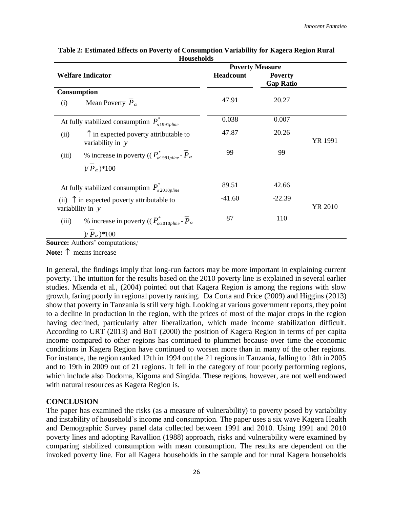|                                      |                                                                             | <b>Poverty Measure</b> |                                    |         |
|--------------------------------------|-----------------------------------------------------------------------------|------------------------|------------------------------------|---------|
| <b>Welfare Indicator</b>             |                                                                             | <b>Headcount</b>       | <b>Poverty</b><br><b>Gap Ratio</b> |         |
| Consumption                          |                                                                             |                        |                                    |         |
| (i)                                  | Mean Poverty $P_{\alpha}$                                                   | 47.91                  | 20.27                              |         |
|                                      | At fully stabilized consumption $P_{\alpha 1991\nu line}^*$                 | 0.038                  | 0.007                              |         |
| (ii)                                 | $\uparrow$ in expected poverty attributable to<br>variability in $y$        | 47.87                  | 20.26                              | YR 1991 |
| (iii)                                | % increase in poverty (( $P_{\alpha 1991nline}^*$ - $\overline{P}_{\alpha}$ | 99                     | 99                                 |         |
| $P_{\alpha}$ $*100$                  |                                                                             |                        |                                    |         |
|                                      | At fully stabilized consumption $P_{\alpha 2010 \text{pline}}^*$            | 89.51                  | 42.66                              |         |
| variability in y                     | (ii) $\uparrow$ in expected poverty attributable to                         | $-41.60$               | $-22.39$                           | YR 2010 |
| (iii)                                | % increase in poverty (( $P_{\alpha 2010nline}^*$ - $\overline{P}_{\alpha}$ | 87                     | 110                                |         |
| $P_{\alpha}$ $*100$                  |                                                                             |                        |                                    |         |
| <b>ource:</b> Authors' computations. |                                                                             |                        |                                    |         |

**Table 2: Estimated Effects on Poverty of Consumption Variability for Kagera Region Rural Households**

**Source:** Authors' computations*;* 

**Note:** means increase

In general, the findings imply that long-run factors may be more important in explaining current poverty. The intuition for the results based on the 2010 poverty line is explained in several earlier studies. Mkenda et al., (2004) pointed out that Kagera Region is among the regions with slow growth, faring poorly in regional poverty ranking. Da Corta and Price (2009) and Higgins (2013) show that poverty in Tanzania is still very high. Looking at various government reports, they point to a decline in production in the region, with the prices of most of the major crops in the region having declined, particularly after liberalization, which made income stabilization difficult. According to URT (2013) and BoT (2000) the position of Kagera Region in terms of per capita income compared to other regions has continued to plummet because over time the economic conditions in Kagera Region have continued to worsen more than in many of the other regions. For instance, the region ranked 12th in 1994 out the 21 regions in Tanzania, falling to 18th in 2005 and to 19th in 2009 out of 21 regions. It fell in the category of four poorly performing regions, which include also Dodoma, Kigoma and Singida. These regions, however, are not well endowed with natural resources as Kagera Region is.

## **CONCLUSION**

The paper has examined the risks (as a measure of vulnerability) to poverty posed by variability and instability of household's income and consumption. The paper uses a six wave Kagera Health and Demographic Survey panel data collected between 1991 and 2010. Using 1991 and 2010 poverty lines and adopting Ravallion (1988) approach, risks and vulnerability were examined by comparing stabilized consumption with mean consumption. The results are dependent on the invoked poverty line. For all Kagera households in the sample and for rural Kagera households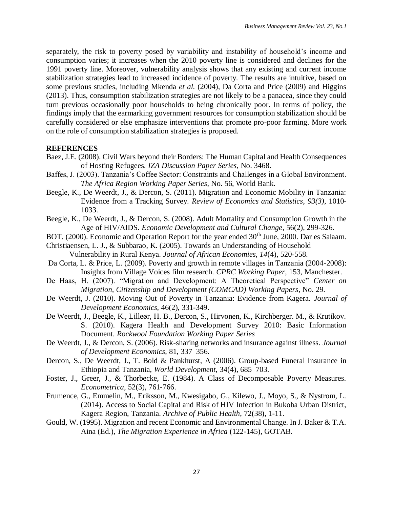separately, the risk to poverty posed by variability and instability of household's income and consumption varies; it increases when the 2010 poverty line is considered and declines for the 1991 poverty line. Moreover, vulnerability analysis shows that any existing and current income stabilization strategies lead to increased incidence of poverty. The results are intuitive, based on some previous studies, including Mkenda *et al.* (2004), Da Corta and Price (2009) and Higgins (2013). Thus, consumption stabilization strategies are not likely to be a panacea, since they could turn previous occasionally poor households to being chronically poor. In terms of policy, the findings imply that the earmarking government resources for consumption stabilization should be carefully considered or else emphasize interventions that promote pro-poor farming. More work on the role of consumption stabilization strategies is proposed.

## **REFERENCES**

- Baez, J.E. (2008). Civil Wars beyond their Borders: The Human Capital and Health Consequences of Hosting Refugees. *IZA Discussion Paper Series*, No. 3468.
- Baffes, J. (2003). Tanzania's Coffee Sector: Constraints and Challenges in a Global Environment. *The Africa Region Working Paper Series*, No. 56, World Bank.
- Beegle, K., De Weerdt, J., & Dercon, S. (2011). Migration and Economic Mobility in Tanzania: Evidence from a Tracking Survey. *Review of Economics and Statistics*, *93(3)*, 1010- 1033.
- Beegle, K., De Weerdt, J., & Dercon, S. (2008). Adult Mortality and Consumption Growth in the Age of HIV/AIDS. *Economic Development and Cultural Change*, 56(2), 299-326.
- BOT. (2000). Economic and Operation Report for the year ended 30<sup>th</sup> June, 2000. Dar es Salaam.
- Christiaensen, L. J., & Subbarao, K. (2005). Towards an Understanding of Household Vulnerability in Rural Kenya. *Journal of African Economies, 14*(4), 520-558.
- Da Corta, L. & Price, L. (2009). Poverty and growth in remote villages in Tanzania (2004-2008): Insights from Village Voices film research. *CPRC Working Paper,* 153, Manchester.
- De Haas, H. (2007). "Migration and Development: A Theoretical Perspective" *Center on Migration, Citizenship and Development (COMCAD) Working Papers*, No. 29.
- De Weerdt, J. (2010). Moving Out of Poverty in Tanzania: Evidence from Kagera. *Journal of Development Economics,* 46(2), 331-349.
- De Weerdt, J., Beegle, K., Lilleør, H. B., Dercon, S., Hirvonen, K., Kirchberger. M., & Krutikov. S. (2010). Kagera Health and Development Survey 2010: Basic Information Document. *Rockwool Foundation Working Paper Series*
- De Weerdt, J., & Dercon, S. (2006). Risk-sharing networks and insurance against illness. *Journal of Development Economics*, 81, 337–356.
- Dercon, S., De Weerdt, J., T. Bold & Pankhurst, A (2006). Group-based Funeral Insurance in Ethiopia and Tanzania, *World Development*, 34(4), 685–703.
- Foster, J., Greer, J., & Thorbecke, E. (1984). A Class of Decomposable Poverty Measures. *Econometrica*, 52(3), 761-766.
- Frumence, G., Emmelin, M., Eriksson, M., Kwesigabo, G., Kilewo, J., Moyo, S., & Nystrom, L. (2014). Access to Social Capital and Risk of HIV Infection in Bukoba Urban District, Kagera Region, Tanzania. *Archive of Public Health*, 72(38), 1-11.
- Gould, W. (1995). Migration and recent Economic and Environmental Change. In J. Baker & T.A. Aina (Ed.), *The Migration Experience in Africa* (122-145), GOTAB.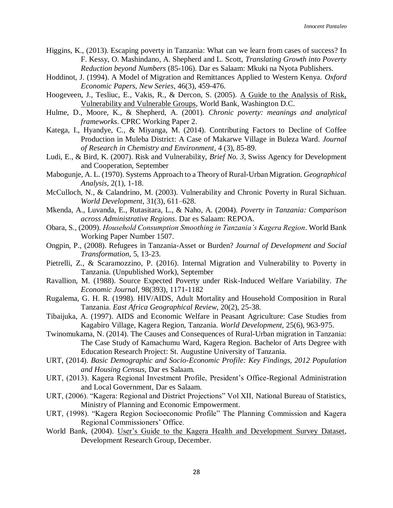- Higgins, K., (2013). Escaping poverty in Tanzania: What can we learn from cases of success? In F. Kessy, O. Mashindano, A. Shepherd and L. Scott, *Translating Growth into Poverty Reduction beyond Numbers* (85-106). Dar es Salaam: Mkuki na Nyota Publishers.
- Hoddinot, J. (1994). A Model of Migration and Remittances Applied to Western Kenya. *Oxford Economic Papers, New Series*, 46(3), 459-476.
- Hoogeveen, J., Tesliuc, E., Vakis, R., & Dercon, S. (2005). A Guide to the Analysis of Risk, Vulnerability and Vulnerable Groups, World Bank, Washington D.C.
- Hulme, D., Moore, K., & Shepherd, A. (2001). *Chronic poverty: meanings and analytical frameworks*. CPRC Working Paper 2.
- Katega, I., Hyandye, C., & Miyanga, M. (2014). Contributing Factors to Decline of Coffee Production in Muleba District: A Case of Makarwe Village in Buleza Ward. *Journal of Research in Chemistry and Environment*, 4 (3), 85-89.
- Ludi, E., & Bird, K. (2007). Risk and Vulnerability, *Brief No. 3*, Swiss Agency for Development and Cooperation, September
- Mabogunje, A. L. (1970). Systems Approach to a Theory of Rural-Urban Migration. *Geographical Analysis,* 2(1), 1-18.
- McCulloch, N., & Calandrino, M. (2003). Vulnerability and Chronic Poverty in Rural Sichuan. *World Development*, 31(3), 611–628.
- Mkenda, A., Luvanda, E., Rutasitara, L., & Naho, A. (2004). *Poverty in Tanzania: Comparison across Administrative Regions*. Dar es Salaam: REPOA.
- Obara, S., (2009). *Household Consumption Smoothing in Tanzania's Kagera Region*. World Bank Working Paper Number 1507.
- Ongpin, P., (2008). Refugees in Tanzania-Asset or Burden? *Journal of Development and Social Transformation*, 5, 13-23.
- Pietrelli, Z., & Scaramozzino, P. (2016). Internal Migration and Vulnerability to Poverty in Tanzania. (Unpublished Work), September
- Ravallion, M. (1988). Source Expected Poverty under Risk-Induced Welfare Variability. *The Economic Journal*, 98(393), 1171-1182
- Rugalema, G. H. R. (1998). HIV/AIDS, Adult Mortality and Household Composition in Rural Tanzania. *East Africa Geographical Review*, 20(2), 25-38.
- Tibaijuka, A. (1997). AIDS and Economic Welfare in Peasant Agriculture: Case Studies from Kagabiro Village, Kagera Region, Tanzania. *World Development,* 25(6), 963-975.
- Twinomukama, N. (2014). The Causes and Consequences of Rural-Urban migration in Tanzania: The Case Study of Kamachumu Ward, Kagera Region. Bachelor of Arts Degree with Education Research Project: St. Augustine University of Tanzania.
- URT, (2014). *Basic Demographic and Socio-Economic Profile: Key Findings, 2012 Population and Housing Census*, Dar es Salaam.
- URT, (2013). Kagera Regional Investment Profile, President's Office-Regional Administration and Local Government, Dar es Salaam.
- URT, (2006). "Kagera: Regional and District Projections" Vol XII, National Bureau of Statistics, Ministry of Planning and Economic Empowerment.
- URT, (1998). "Kagera Region Socioeconomic Profile" The Planning Commission and Kagera Regional Commissioners' Office.
- World Bank, (2004). User's Guide to the Kagera Health and Development Survey Dataset, Development Research Group, December.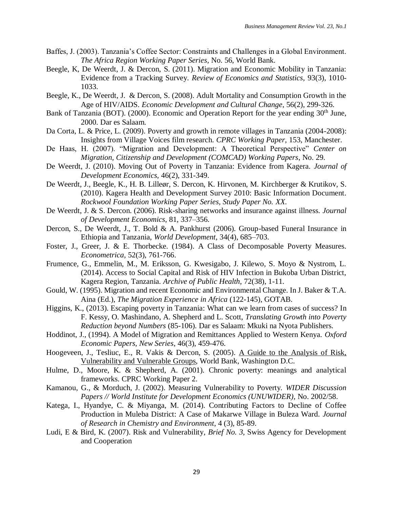- Baffes, J. (2003). Tanzania's Coffee Sector: Constraints and Challenges in a Global Environment. *The Africa Region Working Paper Series*, No. 56, World Bank.
- Beegle, K, De Weerdt, J. & Dercon, S. (2011). Migration and Economic Mobility in Tanzania: Evidence from a Tracking Survey. *Review of Economics and Statistics*, 93(3), 1010- 1033.
- Beegle, K., De Weerdt, J. & Dercon, S. (2008). Adult Mortality and Consumption Growth in the Age of HIV/AIDS. *Economic Development and Cultural Change*, 56(2), 299-326.
- Bank of Tanzania (BOT). (2000). Economic and Operation Report for the year ending 30<sup>th</sup> June, 2000. Dar es Salaam.
- Da Corta, L. & Price, L. (2009). Poverty and growth in remote villages in Tanzania (2004-2008): Insights from Village Voices film research. *CPRC Working Paper,* 153, Manchester.
- De Haas, H. (2007). "Migration and Development: A Theoretical Perspective" *Center on Migration, Citizenship and Development (COMCAD) Working Papers*, No. 29.
- De Weerdt, J. (2010). Moving Out of Poverty in Tanzania: Evidence from Kagera. *Journal of Development Economics,* 46(2), 331-349.
- De Weerdt, J., Beegle, K., H. B. Lilleør, S. Dercon, K. Hirvonen, M. Kirchberger & Krutikov, S. (2010). Kagera Health and Development Survey 2010: Basic Information Document. *Rockwool Foundation Working Paper Series, Study Paper No. XX*.
- De Weerdt, J. & S. Dercon. (2006). Risk-sharing networks and insurance against illness. *Journal of Development Economics*, 81, 337–356.
- Dercon, S., De Weerdt, J., T. Bold & A. Pankhurst (2006). Group-based Funeral Insurance in Ethiopia and Tanzania, *World Development*, 34(4), 685–703.
- Foster, J., Greer, J. & E. Thorbecke. (1984). A Class of Decomposable Poverty Measures. *Econometrica*, 52(3), 761-766.
- Frumence, G., Emmelin, M., M. Eriksson, G. Kwesigabo, J. Kilewo, S. Moyo & Nystrom, L. (2014). Access to Social Capital and Risk of HIV Infection in Bukoba Urban District, Kagera Region, Tanzania. *Archive of Public Health*, 72(38), 1-11.
- Gould, W. (1995). Migration and recent Economic and Environmental Change. In J. Baker & T.A. Aina (Ed.), *The Migration Experience in Africa* (122-145), GOTAB.
- Higgins, K., (2013). Escaping poverty in Tanzania: What can we learn from cases of success? In F. Kessy, O. Mashindano, A. Shepherd and L. Scott, *Translating Growth into Poverty Reduction beyond Numbers* (85-106). Dar es Salaam: Mkuki na Nyota Publishers.
- Hoddinot, J., (1994). A Model of Migration and Remittances Applied to Western Kenya. *Oxford Economic Papers, New Series*, 46(3), 459-476.
- Hoogeveen, J., Tesliuc, E., R. Vakis & Dercon, S. (2005). A Guide to the Analysis of Risk, Vulnerability and Vulnerable Groups, World Bank, Washington D.C.
- Hulme, D., Moore, K. & Shepherd, A. (2001). Chronic poverty: meanings and analytical frameworks. CPRC Working Paper 2.
- Kamanou, G., & Morduch, J. (2002). Measuring Vulnerability to Poverty. *WIDER Discussion Papers // World Institute for Development Economics (UNUWIDER),* No. 2002/58.
- Katega, I., Hyandye, C. & Miyanga, M. (2014). Contributing Factors to Decline of Coffee Production in Muleba District: A Case of Makarwe Village in Buleza Ward. *Journal of Research in Chemistry and Environment*, 4 (3), 85-89.
- Ludi, E & Bird, K. (2007). Risk and Vulnerability, *Brief No. 3*, Swiss Agency for Development and Cooperation